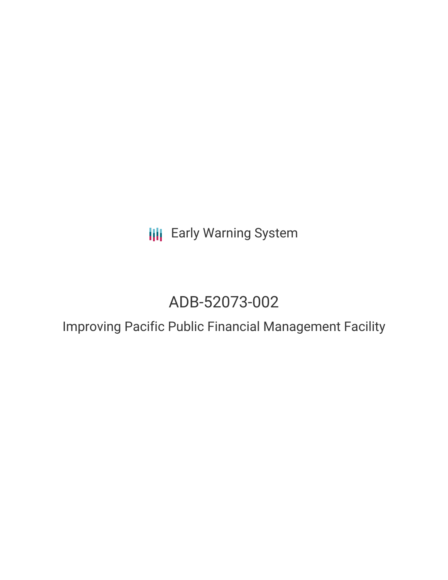**III** Early Warning System

# ADB-52073-002

Improving Pacific Public Financial Management Facility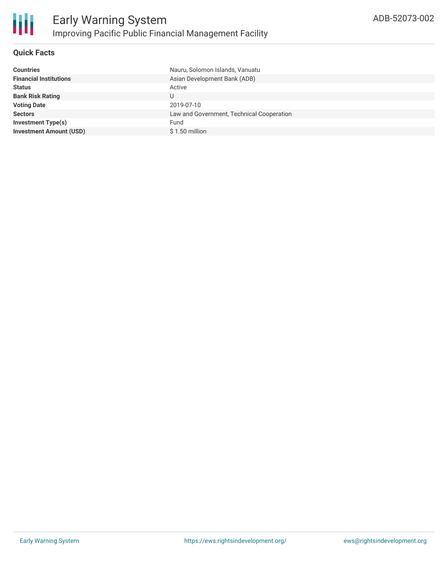

#### **Quick Facts**

| <b>Countries</b>               | Nauru, Solomon Islands, Vanuatu           |
|--------------------------------|-------------------------------------------|
| <b>Financial Institutions</b>  | Asian Development Bank (ADB)              |
| <b>Status</b>                  | Active                                    |
| <b>Bank Risk Rating</b>        | U                                         |
| <b>Voting Date</b>             | 2019-07-10                                |
| <b>Sectors</b>                 | Law and Government, Technical Cooperation |
| <b>Investment Type(s)</b>      | Fund                                      |
| <b>Investment Amount (USD)</b> | $$1.50$ million                           |
|                                |                                           |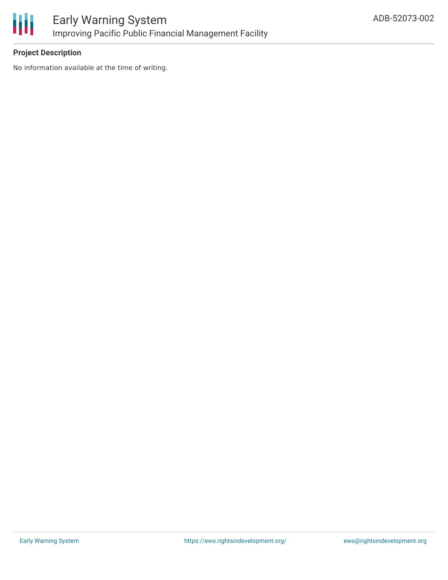

### **Project Description**

No information available at the time of writing.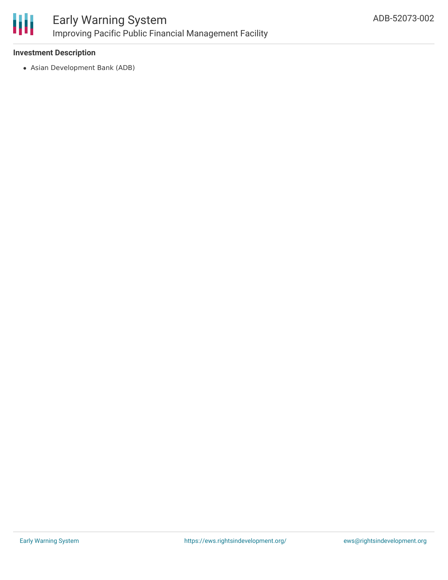

## Early Warning System Improving Pacific Public Financial Management Facility

#### **Investment Description**

Asian Development Bank (ADB)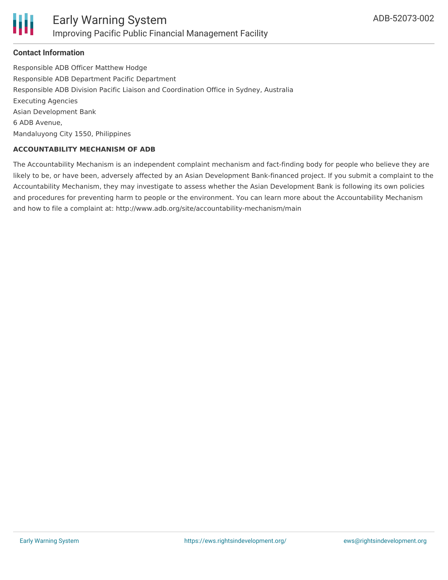

#### **Contact Information**

Responsible ADB Officer Matthew Hodge Responsible ADB Department Pacific Department Responsible ADB Division Pacific Liaison and Coordination Office in Sydney, Australia Executing Agencies Asian Development Bank 6 ADB Avenue, Mandaluyong City 1550, Philippines

#### **ACCOUNTABILITY MECHANISM OF ADB**

The Accountability Mechanism is an independent complaint mechanism and fact-finding body for people who believe they are likely to be, or have been, adversely affected by an Asian Development Bank-financed project. If you submit a complaint to the Accountability Mechanism, they may investigate to assess whether the Asian Development Bank is following its own policies and procedures for preventing harm to people or the environment. You can learn more about the Accountability Mechanism and how to file a complaint at: http://www.adb.org/site/accountability-mechanism/main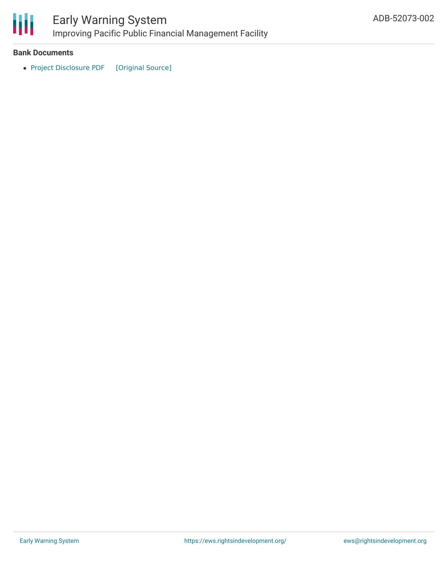

### Early Warning System Improving Pacific Public Financial Management Facility

#### **Bank Documents**

• Project [Disclosure](https://ewsdata.rightsindevelopment.org/files/documents/02/ADB-52073-002.pdf) PDF [\[Original](https://www.adb.org/printpdf/projects/52073-002/main) Source]